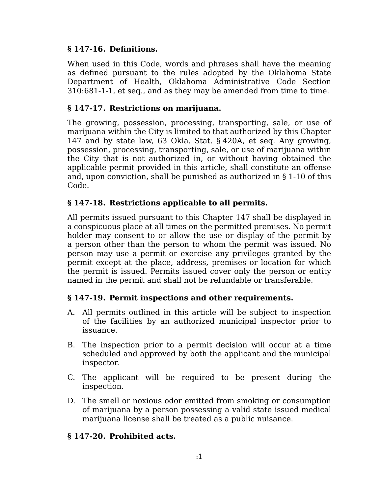## **§ 147-16. Definitions.**

When used in this Code, words and phrases shall have the meaning as defined pursuant to the rules adopted by the Oklahoma State Department of Health, Oklahoma Administrative Code Section 310:681-1-1, et seq., and as they may be amended from time to time.

# **§ 147-17. Restrictions on marijuana.**

The growing, possession, processing, transporting, sale, or use of marijuana within the City is limited to that authorized by this Chapter 147 and by state law, 63 Okla. Stat. § 420A, et seq. Any growing, possession, processing, transporting, sale, or use of marijuana within the City that is not authorized in, or without having obtained the applicable permit provided in this article, shall constitute an offense and, upon conviction, shall be punished as authorized in § 1-10 of this Code.

## **§ 147-18. Restrictions applicable to all permits.**

All permits issued pursuant to this Chapter 147 shall be displayed in a conspicuous place at all times on the permitted premises. No permit holder may consent to or allow the use or display of the permit by a person other than the person to whom the permit was issued. No person may use a permit or exercise any privileges granted by the permit except at the place, address, premises or location for which the permit is issued. Permits issued cover only the person or entity named in the permit and shall not be refundable or transferable.

#### **§ 147-19. Permit inspections and other requirements.**

- All permits outlined in this article will be subject to inspection A. of the facilities by an authorized municipal inspector prior to issuance.
- B. The inspection prior to a permit decision will occur at a time scheduled and approved by both the applicant and the municipal inspector.
- C. The applicant will be required to be present during the inspection.
- D. The smell or noxious odor emitted from smoking or consumption of marijuana by a person possessing a valid state issued medical marijuana license shall be treated as a public nuisance.

#### **§ 147-20. Prohibited acts.**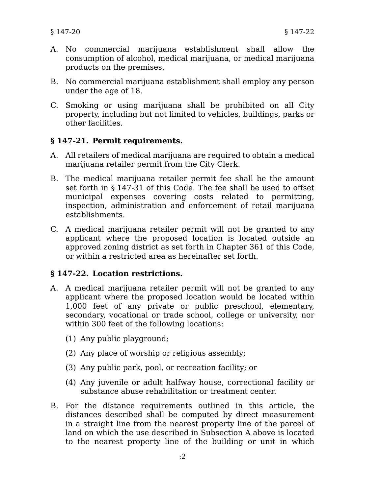- No commercial marijuana establishment shall allow the A. consumption of alcohol, medical marijuana, or medical marijuana products on the premises.
- B. No commercial marijuana establishment shall employ any person under the age of 18.
- C. Smoking or using marijuana shall be prohibited on all City property, including but not limited to vehicles, buildings, parks or other facilities.

## **§ 147-21. Permit requirements.**

- All retailers of medical marijuana are required to obtain a medical A. marijuana retailer permit from the City Clerk.
- B. The medical marijuana retailer permit fee shall be the amount set forth in § 147-31 of this Code. The fee shall be used to offset municipal expenses covering costs related to permitting, inspection, administration and enforcement of retail marijuana establishments.
- C. A medical marijuana retailer permit will not be granted to any applicant where the proposed location is located outside an approved zoning district as set forth in Chapter 361 of this Code, or within a restricted area as hereinafter set forth.

#### **§ 147-22. Location restrictions.**

- A medical marijuana retailer permit will not be granted to any A. applicant where the proposed location would be located within 1,000 feet of any private or public preschool, elementary, secondary, vocational or trade school, college or university, nor within 300 feet of the following locations:
	- (1) Any public playground;
	- (2) Any place of worship or religious assembly;
	- (3) Any public park, pool, or recreation facility; or
	- (4) Any juvenile or adult halfway house, correctional facility or substance abuse rehabilitation or treatment center.
- B. For the distance requirements outlined in this article, the distances described shall be computed by direct measurement in a straight line from the nearest property line of the parcel of land on which the use described in Subsection A above is located to the nearest property line of the building or unit in which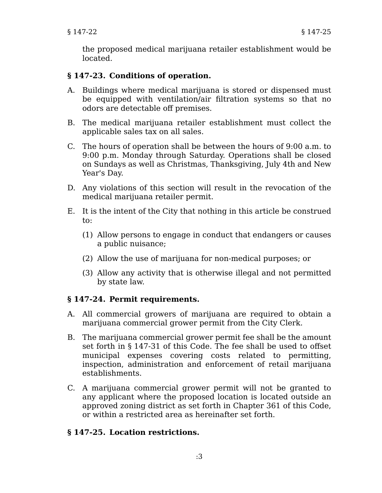the proposed medical marijuana retailer establishment would be located.

# **§ 147-23. Conditions of operation.**

- A. Buildings where medical marijuana is stored or dispensed must be equipped with ventilation/air filtration systems so that no odors are detectable off premises.
- B. The medical marijuana retailer establishment must collect the applicable sales tax on all sales.
- C. The hours of operation shall be between the hours of 9:00 a.m. to 9:00 p.m. Monday through Saturday. Operations shall be closed on Sundays as well as Christmas, Thanksgiving, July 4th and New Year's Day.
- D. Any violations of this section will result in the revocation of the medical marijuana retailer permit.
- E. It is the intent of the City that nothing in this article be construed to:
	- (1) Allow persons to engage in conduct that endangers or causes a public nuisance;
	- (2) Allow the use of marijuana for non-medical purposes; or
	- (3) Allow any activity that is otherwise illegal and not permitted by state law.

#### **§ 147-24. Permit requirements.**

- All commercial growers of marijuana are required to obtain a A. marijuana commercial grower permit from the City Clerk.
- The marijuana commercial grower permit fee shall be the amount B. set forth in § 147-31 of this Code. The fee shall be used to offset municipal expenses covering costs related to permitting, inspection, administration and enforcement of retail marijuana establishments.
- C. A marijuana commercial grower permit will not be granted to any applicant where the proposed location is located outside an approved zoning district as set forth in Chapter 361 of this Code, or within a restricted area as hereinafter set forth.

#### **§ 147-25. Location restrictions.**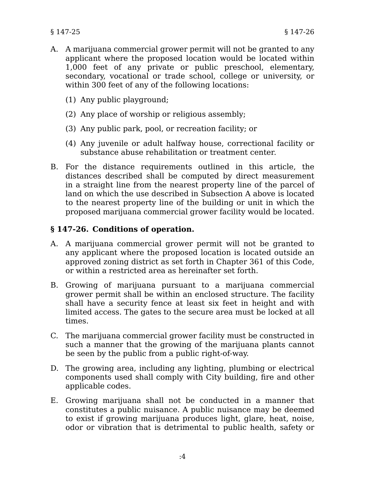- A. A marijuana commercial grower permit will not be granted to any applicant where the proposed location would be located within 1,000 feet of any private or public preschool, elementary, secondary, vocational or trade school, college or university, or within 300 feet of any of the following locations:
	- (1) Any public playground;
	- (2) Any place of worship or religious assembly;
	- (3) Any public park, pool, or recreation facility; or
	- (4) Any juvenile or adult halfway house, correctional facility or substance abuse rehabilitation or treatment center.
- B. For the distance requirements outlined in this article, the distances described shall be computed by direct measurement in a straight line from the nearest property line of the parcel of land on which the use described in Subsection A above is located to the nearest property line of the building or unit in which the proposed marijuana commercial grower facility would be located.

# **§ 147-26. Conditions of operation.**

- A marijuana commercial grower permit will not be granted to A. any applicant where the proposed location is located outside an approved zoning district as set forth in Chapter 361 of this Code, or within a restricted area as hereinafter set forth.
- B. Growing of marijuana pursuant to a marijuana commercial grower permit shall be within an enclosed structure. The facility shall have a security fence at least six feet in height and with limited access. The gates to the secure area must be locked at all times.
- C. The marijuana commercial grower facility must be constructed in such a manner that the growing of the marijuana plants cannot be seen by the public from a public right-of-way.
- D. The growing area, including any lighting, plumbing or electrical components used shall comply with City building, fire and other applicable codes.
- E. Growing marijuana shall not be conducted in a manner that constitutes a public nuisance. A public nuisance may be deemed to exist if growing marijuana produces light, glare, heat, noise, odor or vibration that is detrimental to public health, safety or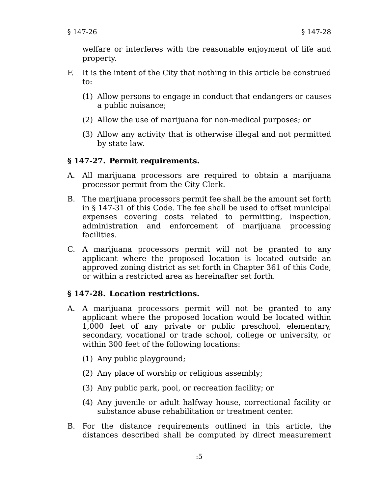welfare or interferes with the reasonable enjoyment of life and property.

- F. It is the intent of the City that nothing in this article be construed to:
	- (1) Allow persons to engage in conduct that endangers or causes a public nuisance;
	- (2) Allow the use of marijuana for non-medical purposes; or
	- (3) Allow any activity that is otherwise illegal and not permitted by state law.

## **§ 147-27. Permit requirements.**

- All marijuana processors are required to obtain a marijuana A. processor permit from the City Clerk.
- The marijuana processors permit fee shall be the amount set forth B. in § 147-31 of this Code. The fee shall be used to offset municipal expenses covering costs related to permitting, inspection, administration and enforcement of marijuana processing facilities.
- C. A marijuana processors permit will not be granted to any applicant where the proposed location is located outside an approved zoning district as set forth in Chapter 361 of this Code, or within a restricted area as hereinafter set forth.

# **§ 147-28. Location restrictions.**

- A marijuana processors permit will not be granted to any A. applicant where the proposed location would be located within 1,000 feet of any private or public preschool, elementary, secondary, vocational or trade school, college or university, or within 300 feet of the following locations:
	- (1) Any public playground;
	- (2) Any place of worship or religious assembly;
	- (3) Any public park, pool, or recreation facility; or
	- (4) Any juvenile or adult halfway house, correctional facility or substance abuse rehabilitation or treatment center.
- B. For the distance requirements outlined in this article, the distances described shall be computed by direct measurement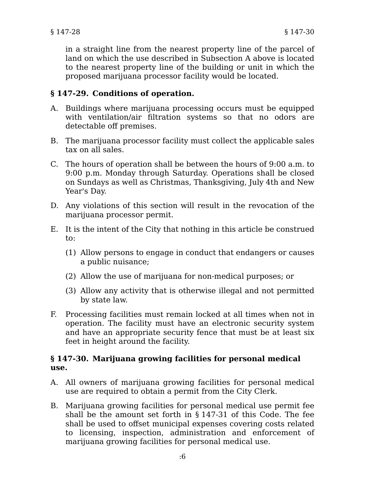in a straight line from the nearest property line of the parcel of land on which the use described in Subsection A above is located to the nearest property line of the building or unit in which the proposed marijuana processor facility would be located.

# **§ 147-29. Conditions of operation.**

- A. Buildings where marijuana processing occurs must be equipped with ventilation/air filtration systems so that no odors are detectable off premises.
- The marijuana processor facility must collect the applicable sales B. tax on all sales.
- C. The hours of operation shall be between the hours of 9:00 a.m. to 9:00 p.m. Monday through Saturday. Operations shall be closed on Sundays as well as Christmas, Thanksgiving, July 4th and New Year's Day.
- D. Any violations of this section will result in the revocation of the marijuana processor permit.
- E. It is the intent of the City that nothing in this article be construed to:
	- (1) Allow persons to engage in conduct that endangers or causes a public nuisance;
	- (2) Allow the use of marijuana for non-medical purposes; or
	- (3) Allow any activity that is otherwise illegal and not permitted by state law.
- Processing facilities must remain locked at all times when not in operation. The facility must have an electronic security system and have an appropriate security fence that must be at least six feet in height around the facility. F.

#### **§ 147-30. Marijuana growing facilities for personal medical use.**

- All owners of marijuana growing facilities for personal medical A. use are required to obtain a permit from the City Clerk.
- Marijuana growing facilities for personal medical use permit fee B. shall be the amount set forth in § 147-31 of this Code. The fee shall be used to offset municipal expenses covering costs related to licensing, inspection, administration and enforcement of marijuana growing facilities for personal medical use.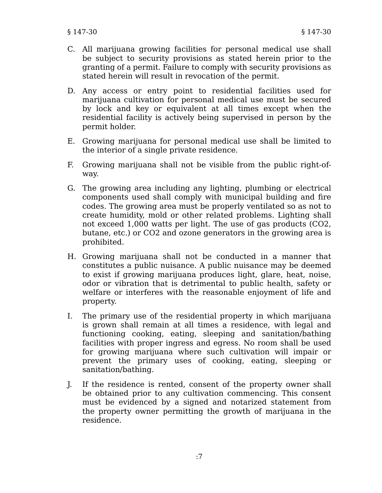- All marijuana growing facilities for personal medical use shall C. be subject to security provisions as stated herein prior to the granting of a permit. Failure to comply with security provisions as stated herein will result in revocation of the permit.
- D. Any access or entry point to residential facilities used for marijuana cultivation for personal medical use must be secured by lock and key or equivalent at all times except when the residential facility is actively being supervised in person by the permit holder.
- E. Growing marijuana for personal medical use shall be limited to the interior of a single private residence.
- F. Growing marijuana shall not be visible from the public right-ofway.
- G. The growing area including any lighting, plumbing or electrical components used shall comply with municipal building and fire codes. The growing area must be properly ventilated so as not to create humidity, mold or other related problems. Lighting shall not exceed 1,000 watts per light. The use of gas products (CO2, butane, etc.) or CO2 and ozone generators in the growing area is prohibited.
- H. Growing marijuana shall not be conducted in a manner that constitutes a public nuisance. A public nuisance may be deemed to exist if growing marijuana produces light, glare, heat, noise, odor or vibration that is detrimental to public health, safety or welfare or interferes with the reasonable enjoyment of life and property.
- The primary use of the residential property in which marijuana is grown shall remain at all times a residence, with legal and functioning cooking, eating, sleeping and sanitation/bathing facilities with proper ingress and egress. No room shall be used for growing marijuana where such cultivation will impair or prevent the primary uses of cooking, eating, sleeping or sanitation/bathing. I.
- If the residence is rented, consent of the property owner shall be obtained prior to any cultivation commencing. This consent must be evidenced by a signed and notarized statement from the property owner permitting the growth of marijuana in the residence. J.